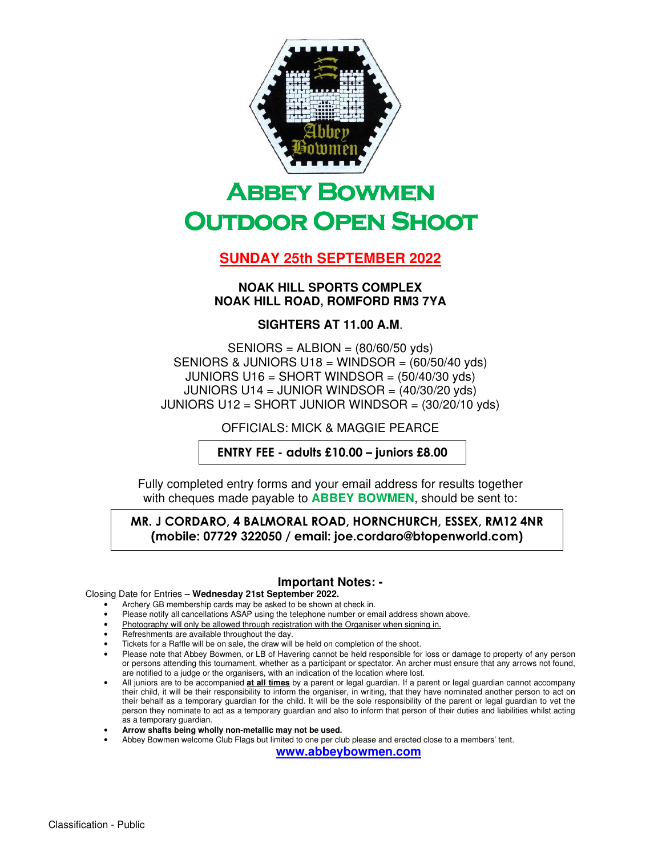

# **ABBEY BOWMEN OUTDOOR OPEN SHOOT**

## **SUNDAY 25th SEPTEMBER 2022**

#### **NOAK HILL SPORTS COMPLEX NOAK HILL ROAD, ROMFORD RM3 7YA**

### **SIGHTERS AT 11.00 A.M**.

SENIORS = ALBION = (80/60/50 yds) SENIORS & JUNIORS U18 = WINDSOR =  $(60/50/40 \text{ vds})$ JUNIORS U16 = SHORT WINDSOR =  $(50/40/30 \text{ yds})$ JUNIORS U14 = JUNIOR WINDSOR = (40/30/20 yds) JUNIORS U12 = SHORT JUNIOR WINDSOR =  $(30/20/10 \text{ yds})$ 

OFFICIALS: MICK & MAGGIE PEARCE

ENTRY FEE - adults £10.00 – juniors £8.00

Fully completed entry forms and your email address for results together with cheques made payable to **ABBEY BOWMEN**, should be sent to:

MR. J CORDARO, 4 BALMORAL ROAD, HORNCHURCH, ESSEX, RM12 4NR (mobile: 07729 322050 / email: joe.cordaro@btopenworld.com)

#### **Important Notes: -**

#### Closing Date for Entries – **Wednesday 21st September 2022.**

- Archery GB membership cards may be asked to be shown at check in.
- Please notify all cancellations ASAP using the telephone number or email address shown above.
- Photography will only be allowed through registration with the Organiser when signing in.
- Refreshments are available throughout the day.
- Tickets for a Raffle will be on sale, the draw will be held on completion of the shoot.
- Please note that Abbey Bowmen, or LB of Havering cannot be held responsible for loss or damage to property of any person or persons attending this tournament, whether as a participant or spectator. An archer must ensure that any arrows not found, are notified to a judge or the organisers, with an indication of the location where lost.
- All juniors are to be accompanied **at all times** by a parent or legal guardian. If a parent or legal guardian cannot accompany their child, it will be their responsibility to inform the organiser, in writing, that they have nominated another person to act on their behalf as a temporary guardian for the child. It will be the sole responsibility of the parent or legal guardian to vet the person they nominate to act as a temporary guardian and also to inform that person of their duties and liabilities whilst acting as a temporary guardian.
- **Arrow shafts being wholly non-metallic may not be used.**
- Abbey Bowmen welcome Club Flags but limited to one per club please and erected close to a members' tent.

**www.abbeybowmen.com**